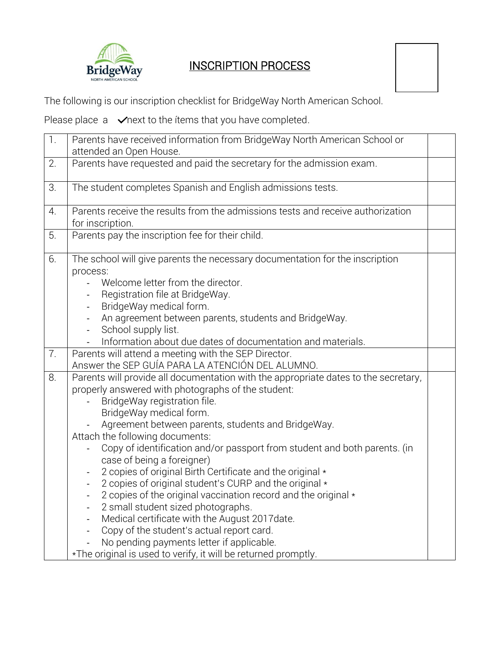

## INSCRIPTION PROCESS

The following is our inscription checklist for BridgeWay North American School.

Please place  $a \quad \sqrt{ }$  next to the ítems that you have completed.

| $\overline{1}$ . | Parents have received information from BridgeWay North American School or                                                                                                                                                                                                                                                                                                                                                                                                                                                                                                                                                                                                                                                                                                                                                                             |  |  |
|------------------|-------------------------------------------------------------------------------------------------------------------------------------------------------------------------------------------------------------------------------------------------------------------------------------------------------------------------------------------------------------------------------------------------------------------------------------------------------------------------------------------------------------------------------------------------------------------------------------------------------------------------------------------------------------------------------------------------------------------------------------------------------------------------------------------------------------------------------------------------------|--|--|
|                  | attended an Open House.                                                                                                                                                                                                                                                                                                                                                                                                                                                                                                                                                                                                                                                                                                                                                                                                                               |  |  |
| 2.               | Parents have requested and paid the secretary for the admission exam.                                                                                                                                                                                                                                                                                                                                                                                                                                                                                                                                                                                                                                                                                                                                                                                 |  |  |
| 3.               | The student completes Spanish and English admissions tests.                                                                                                                                                                                                                                                                                                                                                                                                                                                                                                                                                                                                                                                                                                                                                                                           |  |  |
| 4.               | Parents receive the results from the admissions tests and receive authorization<br>for inscription.                                                                                                                                                                                                                                                                                                                                                                                                                                                                                                                                                                                                                                                                                                                                                   |  |  |
| 5.               | Parents pay the inscription fee for their child.                                                                                                                                                                                                                                                                                                                                                                                                                                                                                                                                                                                                                                                                                                                                                                                                      |  |  |
| 6.               | The school will give parents the necessary documentation for the inscription<br>process:<br>Welcome letter from the director.<br>Registration file at BridgeWay.<br>BridgeWay medical form.<br>An agreement between parents, students and BridgeWay.<br>School supply list.<br>$\blacksquare$<br>Information about due dates of documentation and materials.                                                                                                                                                                                                                                                                                                                                                                                                                                                                                          |  |  |
| 7.               | Parents will attend a meeting with the SEP Director.<br>Answer the SEP GUÍA PARA LA ATENCIÓN DEL ALUMNO.                                                                                                                                                                                                                                                                                                                                                                                                                                                                                                                                                                                                                                                                                                                                              |  |  |
| 8.               | Parents will provide all documentation with the appropriate dates to the secretary,<br>properly answered with photographs of the student:<br>BridgeWay registration file.<br>BridgeWay medical form.<br>Agreement between parents, students and BridgeWay.<br>Attach the following documents:<br>Copy of identification and/or passport from student and both parents. (in<br>case of being a foreigner)<br>2 copies of original Birth Certificate and the original *<br>2 copies of original student's CURP and the original *<br>2 copies of the original vaccination record and the original *<br>2 small student sized photographs.<br>Medical certificate with the August 2017 date.<br>Copy of the student's actual report card.<br>No pending payments letter if applicable.<br>*The original is used to verify, it will be returned promptly. |  |  |